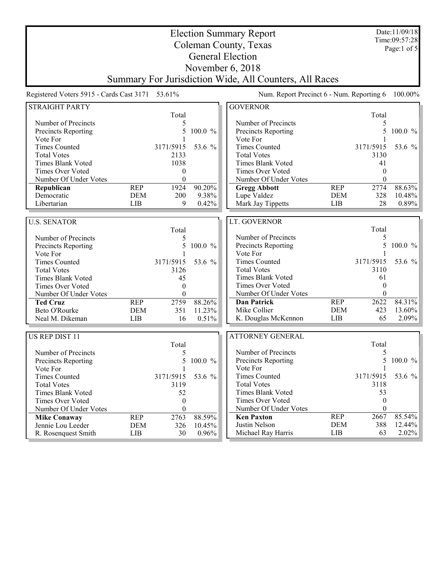| <b>Election Summary Report</b>                  |            |                  |           |                                                        |            | Date:11/09/18<br>Time:09:57:28 |               |
|-------------------------------------------------|------------|------------------|-----------|--------------------------------------------------------|------------|--------------------------------|---------------|
| Coleman County, Texas                           |            |                  |           |                                                        |            |                                |               |
|                                                 |            |                  |           | <b>General Election</b>                                |            |                                | Page:1 of $5$ |
|                                                 |            |                  |           |                                                        |            |                                |               |
|                                                 |            |                  |           | November $6, 2018$                                     |            |                                |               |
|                                                 |            |                  |           | Summary For Jurisdiction Wide, All Counters, All Races |            |                                |               |
| Registered Voters 5915 - Cards Cast 3171 53.61% |            |                  |           | Num. Report Precinct 6 - Num. Reporting 6              |            |                                | $100.00\%$    |
| <b>STRAIGHT PARTY</b>                           |            |                  |           | <b>GOVERNOR</b>                                        |            |                                |               |
|                                                 |            | Total            |           |                                                        |            | Total                          |               |
| Number of Precincts                             |            | 5                |           | Number of Precincts                                    |            | 5                              |               |
| Precincts Reporting                             |            | 5                | 100.0 %   | Precincts Reporting                                    |            | 5                              | 100.0 %       |
| Vote For                                        |            |                  |           | Vote For                                               |            |                                |               |
| <b>Times Counted</b>                            |            | 3171/5915        | 53.6 %    | <b>Times Counted</b>                                   |            | 3171/5915                      | 53.6 %        |
| <b>Total Votes</b>                              |            | 2133             |           | <b>Total Votes</b>                                     |            | 3130                           |               |
| Times Blank Voted                               |            | 1038             |           | Times Blank Voted                                      |            | 41                             |               |
| Times Over Voted                                |            | $\boldsymbol{0}$ |           | Times Over Voted                                       |            | $\theta$                       |               |
| Number Of Under Votes                           |            | $\theta$         |           | Number Of Under Votes                                  |            | $\theta$                       |               |
| Republican                                      | <b>REP</b> | 1924             | 90.20%    | <b>Gregg Abbott</b>                                    | <b>REP</b> | 2774                           | 88.63%        |
| Democratic                                      | <b>DEM</b> | 200              | 9.38%     | Lupe Valdez                                            | <b>DEM</b> | 328                            | 10.48%        |
| Libertarian                                     | <b>LIB</b> | 9                | 0.42%     | Mark Jay Tippetts                                      | LIB        | 28                             | 0.89%         |
|                                                 |            |                  |           |                                                        |            |                                |               |
| <b>U.S. SENATOR</b>                             |            |                  |           | LT. GOVERNOR                                           |            |                                |               |
|                                                 |            | Total            |           |                                                        |            | Total                          |               |
| Number of Precincts                             |            | 5                |           | Number of Precincts                                    |            | 5                              |               |
| Precincts Reporting                             |            | 5                | 100.0 %   | Precincts Reporting                                    |            | 5                              | 100.0 %       |
| Vote For                                        |            |                  |           | Vote For                                               |            |                                |               |
| <b>Times Counted</b>                            |            | 3171/5915        | 53.6 %    | <b>Times Counted</b>                                   |            | 3171/5915                      | 53.6 %        |
| <b>Total Votes</b>                              |            | 3126             |           | <b>Total Votes</b>                                     |            | 3110                           |               |
| <b>Times Blank Voted</b>                        |            | 45               |           | <b>Times Blank Voted</b>                               |            | 61                             |               |
| Times Over Voted                                |            | $\boldsymbol{0}$ |           | Times Over Voted                                       |            | $\theta$                       |               |
| Number Of Under Votes                           |            | $\boldsymbol{0}$ |           | Number Of Under Votes                                  |            | $\mathbf{0}$                   |               |
| <b>Ted Cruz</b>                                 | <b>REP</b> | 2759             | 88.26%    | <b>Dan Patrick</b>                                     | <b>REP</b> | 2622                           | 84.31%        |
| Beto O'Rourke                                   | <b>DEM</b> | 351              | 11.23%    | Mike Collier                                           | <b>DEM</b> | 423                            | 13.60%        |
| Neal M. Dikeman                                 | LIB        | 16               | 0.51%     | K. Douglas McKennon                                    | LIB        | 65                             | 2.09%         |
|                                                 |            |                  |           |                                                        |            |                                |               |
| <b>US REP DIST 11</b>                           |            |                  |           | <b>ATTORNEY GENERAL</b>                                |            |                                |               |
|                                                 |            | Total            |           |                                                        |            | Total                          |               |
| Number of Precincts                             |            | 5                |           | Number of Precincts                                    |            | 5                              |               |
| Precincts Reporting                             |            |                  | 5 100.0 % | Precincts Reporting                                    |            |                                | 5 100.0 $%$   |
| Vote For                                        |            |                  |           | Vote For                                               |            |                                |               |
| <b>Times Counted</b>                            |            | 3171/5915        | 53.6 %    | <b>Times Counted</b>                                   |            | 3171/5915                      | 53.6 %        |
| <b>Total Votes</b>                              |            | 3119             |           | <b>Total Votes</b>                                     |            | 3118                           |               |
| Times Blank Voted                               |            | 52               |           | Times Blank Voted                                      |            | 53                             |               |
| Times Over Voted                                |            | $\boldsymbol{0}$ |           | Times Over Voted                                       |            | $\boldsymbol{0}$               |               |
| Number Of Under Votes                           |            | $\boldsymbol{0}$ |           | Number Of Under Votes                                  |            | $\boldsymbol{0}$               |               |
| <b>Mike Conaway</b>                             | <b>REP</b> | 2763             | 88.59%    | <b>Ken Paxton</b>                                      | <b>REP</b> | 2667                           | 85.54%        |
| Jennie Lou Leeder                               | <b>DEM</b> | 326              | 10.45%    | Justin Nelson                                          | <b>DEM</b> | 388                            | 12.44%        |
| R. Rosenquest Smith                             | LIB        | 30               | 0.96%     | Michael Ray Harris                                     | LIB        | 63                             | 2.02%         |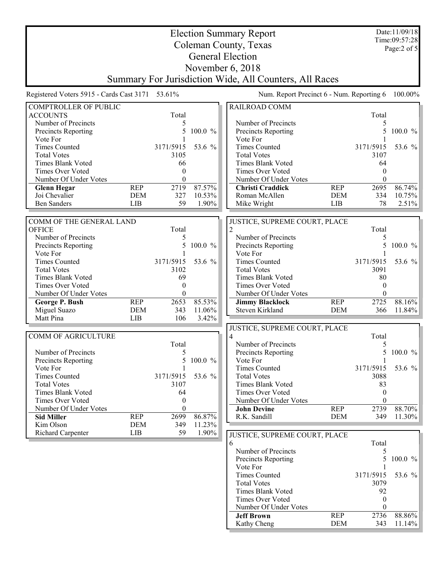|                                                  |            | Date:11/09/18                     |           |                                                        |            |                           |            |  |  |
|--------------------------------------------------|------------|-----------------------------------|-----------|--------------------------------------------------------|------------|---------------------------|------------|--|--|
|                                                  |            | Time:09:57:28<br>Page: $2$ of $5$ |           |                                                        |            |                           |            |  |  |
| Coleman County, Texas<br><b>General Election</b> |            |                                   |           |                                                        |            |                           |            |  |  |
| November $6, 2018$                               |            |                                   |           |                                                        |            |                           |            |  |  |
|                                                  |            |                                   |           |                                                        |            |                           |            |  |  |
|                                                  |            |                                   |           | Summary For Jurisdiction Wide, All Counters, All Races |            |                           |            |  |  |
| Registered Voters 5915 - Cards Cast 3171 53.61%  |            |                                   |           | Num. Report Precinct 6 - Num. Reporting 6              |            |                           | 100.00%    |  |  |
| <b>COMPTROLLER OF PUBLIC</b>                     |            |                                   |           | RAILROAD COMM                                          |            |                           |            |  |  |
| <b>ACCOUNTS</b>                                  |            | Total                             |           |                                                        |            | Total                     |            |  |  |
| Number of Precincts<br>Precincts Reporting       |            | 5<br>5                            | 100.0 %   | Number of Precincts<br>Precincts Reporting             |            | 5<br>5                    | $100.0 \%$ |  |  |
| Vote For                                         |            |                                   |           | Vote For                                               |            |                           |            |  |  |
| <b>Times Counted</b>                             |            | 3171/5915                         | 53.6 %    | <b>Times Counted</b>                                   |            | 3171/5915                 | 53.6 %     |  |  |
| <b>Total Votes</b>                               |            | 3105                              |           | <b>Total Votes</b>                                     |            | 3107                      |            |  |  |
| Times Blank Voted                                |            | 66                                |           | Times Blank Voted                                      |            | 64                        |            |  |  |
| Times Over Voted                                 |            | $\theta$                          |           | Times Over Voted                                       |            | $\theta$                  |            |  |  |
| Number Of Under Votes                            |            | $\theta$                          |           | Number Of Under Votes                                  |            | $\theta$                  |            |  |  |
| <b>Glenn Hegar</b>                               | <b>REP</b> | 2719                              | 87.57%    | <b>Christi Craddick</b>                                | <b>REP</b> | 2695                      | 86.74%     |  |  |
| Joi Chevalier                                    | <b>DEM</b> | 327                               | 10.53%    | Roman McAllen                                          | <b>DEM</b> | 334                       | 10.75%     |  |  |
| <b>Ben Sanders</b>                               | <b>LIB</b> | 59                                | 1.90%     | Mike Wright                                            | LIB        | 78                        | 2.51%      |  |  |
| COMM OF THE GENERAL LAND                         |            |                                   |           | JUSTICE, SUPREME COURT, PLACE                          |            |                           |            |  |  |
| <b>OFFICE</b>                                    |            | Total                             |           |                                                        |            | Total                     |            |  |  |
| Number of Precincts                              |            | 5                                 |           | Number of Precincts                                    |            | 5                         |            |  |  |
| Precincts Reporting                              |            | 5                                 | 100.0 %   | Precincts Reporting                                    |            | 5                         | 100.0 $%$  |  |  |
| Vote For                                         |            |                                   |           | Vote For                                               |            |                           |            |  |  |
| <b>Times Counted</b>                             |            | 3171/5915                         | 53.6 %    | <b>Times Counted</b>                                   |            | 3171/5915                 | 53.6 %     |  |  |
| <b>Total Votes</b><br><b>Times Blank Voted</b>   |            | 3102<br>69                        |           | <b>Total Votes</b><br><b>Times Blank Voted</b>         |            | 3091<br>80                |            |  |  |
| Times Over Voted                                 |            | $\theta$                          |           | Times Over Voted                                       |            | $\theta$                  |            |  |  |
| Number Of Under Votes                            |            | $\theta$                          |           | Number Of Under Votes                                  |            | $\theta$                  |            |  |  |
| George P. Bush                                   | <b>REP</b> | 2653                              | 85.53%    | <b>Jimmy Blacklock</b>                                 | <b>REP</b> | 2725                      | 88.16%     |  |  |
| Miguel Suazo                                     | <b>DEM</b> | 343                               | 11.06%    | Steven Kirkland                                        | <b>DEM</b> | 366                       | 11.84%     |  |  |
| Matt Pina                                        | LIB        | 106                               | 3.42%     |                                                        |            |                           |            |  |  |
|                                                  |            |                                   |           | JUSTICE, SUPREME COURT, PLACE                          |            |                           |            |  |  |
| <b>COMM OF AGRICULTURE</b>                       |            |                                   |           | 4                                                      |            | Total                     |            |  |  |
|                                                  |            | Total                             |           | Number of Precincts                                    |            | 5                         |            |  |  |
| Number of Precincts                              |            | 5                                 |           | Precincts Reporting                                    |            |                           | 5 100.0 %  |  |  |
| <b>Precincts Reporting</b><br>Vote For           |            |                                   | 5 100.0 % | Vote For<br><b>Times Counted</b>                       |            | $\mathbf{1}$<br>3171/5915 | 53.6 %     |  |  |
| <b>Times Counted</b>                             |            | 3171/5915                         | 53.6 %    | <b>Total Votes</b>                                     |            | 3088                      |            |  |  |
| <b>Total Votes</b>                               |            | 3107                              |           | <b>Times Blank Voted</b>                               |            | 83                        |            |  |  |
| Times Blank Voted                                |            | 64                                |           | Times Over Voted                                       |            | $\mathbf{0}$              |            |  |  |
| Times Over Voted                                 |            | $\boldsymbol{0}$                  |           | Number Of Under Votes                                  |            | $\mathbf{0}$              |            |  |  |
| Number Of Under Votes                            |            | $\boldsymbol{0}$                  |           | <b>John Devine</b>                                     | <b>REP</b> | 2739                      | 88.70%     |  |  |
| <b>Sid Miller</b>                                | <b>REP</b> | 2699                              | 86.87%    | R.K. Sandill                                           | <b>DEM</b> | 349                       | 11.30%     |  |  |
| Kim Olson                                        | <b>DEM</b> | 349                               | 11.23%    |                                                        |            |                           |            |  |  |
| Richard Carpenter                                | <b>LIB</b> | 59                                | 1.90%     | JUSTICE, SUPREME COURT, PLACE                          |            |                           |            |  |  |
|                                                  |            |                                   |           | 6<br>Number of Precincts                               |            | Total                     |            |  |  |
|                                                  |            |                                   |           | Precincts Reporting                                    |            | 5<br>5                    | 100.0 %    |  |  |
|                                                  |            |                                   |           | Vote For                                               |            |                           |            |  |  |
|                                                  |            |                                   |           | <b>Times Counted</b>                                   |            | 3171/5915                 | 53.6 %     |  |  |
|                                                  |            |                                   |           | <b>Total Votes</b>                                     |            | 3079                      |            |  |  |
|                                                  |            |                                   |           | Times Blank Voted                                      |            | 92                        |            |  |  |
|                                                  |            |                                   |           | Times Over Voted                                       |            | $\theta$                  |            |  |  |
|                                                  |            |                                   |           | Number Of Under Votes                                  |            | $\theta$                  |            |  |  |
|                                                  |            |                                   |           | <b>Jeff Brown</b>                                      | <b>REP</b> | 2736                      | 88.86%     |  |  |
|                                                  |            |                                   |           | Kathy Cheng                                            | <b>DEM</b> | 343                       | $11.14\%$  |  |  |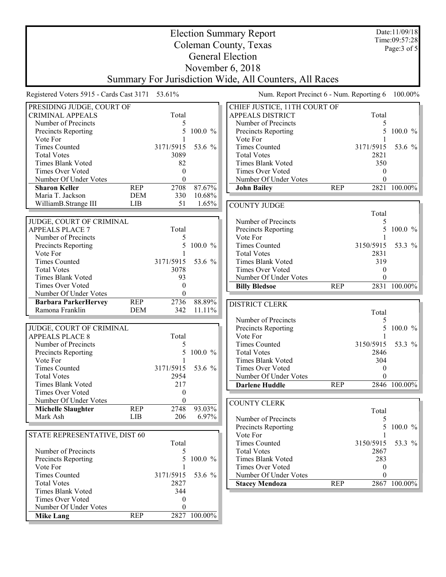|                                                        |                          | Date:11/09/18<br>Time:09:57:28 |                                           |                              |            |           |              |  |  |
|--------------------------------------------------------|--------------------------|--------------------------------|-------------------------------------------|------------------------------|------------|-----------|--------------|--|--|
| Coleman County, Texas                                  |                          |                                |                                           |                              |            |           | Page: 3 of 5 |  |  |
| <b>General Election</b>                                |                          |                                |                                           |                              |            |           |              |  |  |
|                                                        |                          |                                |                                           |                              |            |           |              |  |  |
| November 6, 2018                                       |                          |                                |                                           |                              |            |           |              |  |  |
| Summary For Jurisdiction Wide, All Counters, All Races |                          |                                |                                           |                              |            |           |              |  |  |
| Registered Voters 5915 - Cards Cast 3171 53.61%        |                          |                                | Num. Report Precinct 6 - Num. Reporting 6 |                              |            | 100.00%   |              |  |  |
| PRESIDING JUDGE, COURT OF                              |                          |                                |                                           | CHIEF JUSTICE, 11TH COURT OF |            |           |              |  |  |
| <b>CRIMINAL APPEALS</b>                                |                          | Total                          |                                           | <b>APPEALS DISTRICT</b>      |            | Total     |              |  |  |
| Number of Precincts                                    |                          | 5                              |                                           | Number of Precincts          |            |           |              |  |  |
| Precincts Reporting                                    |                          | 5                              | 100.0 %                                   | Precincts Reporting          |            |           | 100.0 %      |  |  |
| Vote For                                               |                          |                                |                                           | Vote For                     |            |           |              |  |  |
| <b>Times Counted</b>                                   |                          | 3171/5915                      | 53.6 %                                    | <b>Times Counted</b>         |            | 3171/5915 | 53.6 %       |  |  |
| <b>Total Votes</b>                                     |                          | 3089                           |                                           | <b>Total Votes</b>           |            | 2821      |              |  |  |
| <b>Times Blank Voted</b>                               |                          | 82                             |                                           | Times Blank Voted            |            | 350       |              |  |  |
| Times Over Voted                                       |                          | $\theta$<br>0                  |                                           | <b>Times Over Voted</b>      |            | 0<br>0    |              |  |  |
| Number Of Under Votes                                  |                          |                                |                                           | Number Of Under Votes        |            |           |              |  |  |
| <b>Sharon Keller</b><br>Maria T. Jackson               | <b>REP</b><br><b>DEM</b> | 2708<br>330                    | 87.67%<br>10.68%                          | <b>John Bailey</b>           | <b>REP</b> |           | 2821 100.00% |  |  |
| WilliamB.Strange III                                   | <b>LIB</b>               | 51                             | 1.65%                                     |                              |            |           |              |  |  |
|                                                        |                          |                                |                                           | <b>COUNTY JUDGE</b>          |            | Total     |              |  |  |
| JUDGE, COURT OF CRIMINAL                               |                          |                                |                                           | Number of Precincts          |            | 5         |              |  |  |
| <b>APPEALS PLACE 7</b>                                 |                          | Total                          |                                           | Precincts Reporting          |            | 5         | $100.0 \%$   |  |  |
| Number of Precincts                                    |                          | 5                              |                                           | Vote For                     |            |           |              |  |  |
| Precincts Reporting                                    |                          | 5                              | 100.0 %                                   | <b>Times Counted</b>         |            | 3150/5915 | 53.3 %       |  |  |
| Vote For                                               |                          |                                |                                           | <b>Total Votes</b>           |            | 2831      |              |  |  |
| <b>Times Counted</b>                                   |                          | 3171/5915                      | 53.6 %                                    | <b>Times Blank Voted</b>     |            | 319       |              |  |  |
| <b>Total Votes</b>                                     |                          | 3078                           |                                           | <b>Times Over Voted</b>      |            | $\theta$  |              |  |  |
| Times Blank Voted                                      |                          | 93                             |                                           | Number Of Under Votes        |            |           |              |  |  |
| Times Over Voted                                       |                          | $\theta$                       |                                           | <b>Billy Bledsoe</b>         | <b>REP</b> |           | 2831 100.00% |  |  |
| Number Of Under Votes                                  |                          | $\theta$                       |                                           |                              |            |           |              |  |  |
| <b>Barbara ParkerHervey</b>                            | <b>REP</b>               | 2736                           | 88.89%                                    | DISTRICT CLERK               |            |           |              |  |  |
| Ramona Franklin                                        | DEM                      | 342                            | $11.11\%$                                 |                              |            | Total     |              |  |  |
|                                                        |                          |                                |                                           | Number of Precincts          |            | 5         |              |  |  |
| JUDGE, COURT OF CRIMINAL                               |                          |                                |                                           | Precincts Reporting          |            |           | 100.0 %      |  |  |
| <b>APPEALS PLACE 8</b>                                 |                          | Total                          |                                           | Vote For                     |            |           |              |  |  |
| Number of Precincts                                    |                          | 5                              |                                           | <b>Times Counted</b>         |            | 3150/5915 | 53.3 %       |  |  |
| <b>Precincts Reporting</b>                             |                          |                                | 5 100.0 %                                 | <b>Total Votes</b>           |            | 2846      |              |  |  |
| Vote For                                               |                          |                                |                                           | <b>Times Blank Voted</b>     |            | 304       |              |  |  |
| <b>Times Counted</b>                                   |                          | 3171/5915                      | 53.6 %                                    | Times Over Voted             |            | $\bf{0}$  |              |  |  |
| <b>Total Votes</b>                                     |                          | 2954                           |                                           | Number Of Under Votes        |            | $\theta$  |              |  |  |
| Times Blank Voted                                      |                          | 217                            |                                           | <b>Darlene Huddle</b>        | <b>REP</b> |           | 2846 100.00% |  |  |
| Times Over Voted                                       |                          | 0                              |                                           |                              |            |           |              |  |  |
| Number Of Under Votes                                  |                          | $\boldsymbol{0}$               |                                           | <b>COUNTY CLERK</b>          |            |           |              |  |  |
| <b>Michelle Slaughter</b>                              | <b>REP</b>               | 2748                           | 93.03%                                    |                              |            | Total     |              |  |  |
| Mark Ash                                               | LIB                      | 206                            | 6.97%                                     | Number of Precincts          |            | 5         |              |  |  |
|                                                        |                          |                                |                                           | Precincts Reporting          |            | 5         | $100.0 \%$   |  |  |
| STATE REPRESENTATIVE, DIST 60                          |                          |                                |                                           | Vote For                     |            |           |              |  |  |
|                                                        |                          | Total                          |                                           | <b>Times Counted</b>         |            | 3150/5915 | 53.3 %       |  |  |
| Number of Precincts                                    |                          | 5                              |                                           | <b>Total Votes</b>           |            | 2867      |              |  |  |
| Precincts Reporting                                    |                          | 5                              | 100.0 %                                   | <b>Times Blank Voted</b>     |            | 283       |              |  |  |
| Vote For                                               |                          |                                |                                           | Times Over Voted             |            | $\theta$  |              |  |  |
| <b>Times Counted</b>                                   |                          | 3171/5915                      | 53.6 %                                    | Number Of Under Votes        |            | $\Omega$  |              |  |  |
| <b>Total Votes</b>                                     |                          | 2827                           |                                           | <b>Stacey Mendoza</b>        | <b>REP</b> |           | 2867 100.00% |  |  |
| Times Blank Voted                                      |                          | 344                            |                                           |                              |            |           |              |  |  |
| Times Over Voted                                       |                          | 0                              |                                           |                              |            |           |              |  |  |
| Number Of Under Votes                                  |                          | 0                              |                                           |                              |            |           |              |  |  |
| <b>Mike Lang</b>                                       | <b>REP</b>               |                                | 2827 100.00%                              |                              |            |           |              |  |  |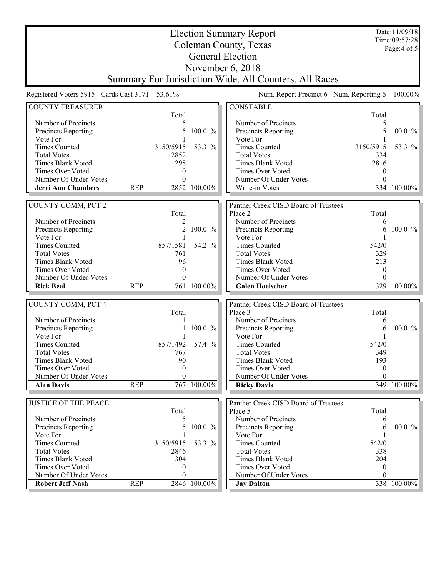| <b>Election Summary Report</b>                  |            |                |              |                                                        |              | Date:11/09/18<br>Time:09:57:28 |
|-------------------------------------------------|------------|----------------|--------------|--------------------------------------------------------|--------------|--------------------------------|
|                                                 |            |                |              | Coleman County, Texas                                  |              | Page:4 of 5                    |
|                                                 |            |                |              | <b>General Election</b>                                |              |                                |
|                                                 |            |                |              |                                                        |              |                                |
|                                                 |            |                |              | November $6, 2018$                                     |              |                                |
|                                                 |            |                |              | Summary For Jurisdiction Wide, All Counters, All Races |              |                                |
| Registered Voters 5915 - Cards Cast 3171 53.61% |            |                |              | Num. Report Precinct 6 - Num. Reporting 6              |              | 100.00%                        |
| <b>COUNTY TREASURER</b>                         |            |                |              | <b>CONSTABLE</b>                                       |              |                                |
|                                                 |            | Total          |              |                                                        | Total        |                                |
| Number of Precincts                             |            | 5              |              | Number of Precincts                                    | 5            |                                |
| Precincts Reporting                             |            | 5              | 100.0 %      | Precincts Reporting                                    | 5            | $100.0 \%$                     |
| Vote For                                        |            |                |              | Vote For                                               |              |                                |
| <b>Times Counted</b>                            |            | 3150/5915      | 53.3 %       | <b>Times Counted</b>                                   | 3150/5915    | 53.3 %                         |
| <b>Total Votes</b>                              |            | 2852           |              | <b>Total Votes</b>                                     | 334          |                                |
| Times Blank Voted                               |            | 298            |              | Times Blank Voted                                      | 2816         |                                |
| Times Over Voted                                |            | $\theta$       |              | <b>Times Over Voted</b>                                | $\theta$     |                                |
| Number Of Under Votes                           |            | $\theta$       |              | Number Of Under Votes                                  | $\Omega$     |                                |
| <b>Jerri Ann Chambers</b>                       | <b>REP</b> |                | 2852 100.00% | Write-in Votes                                         |              | 334 100.00%                    |
| COUNTY COMM, PCT 2                              |            |                |              | Panther Creek CISD Board of Trustees                   |              |                                |
|                                                 |            | Total          |              | Place 2                                                | Total        |                                |
| Number of Precincts                             |            | 2              |              | Number of Precincts                                    | 6            |                                |
| Precincts Reporting                             |            | $\overline{2}$ | 100.0 %      | Precincts Reporting                                    | 6            | $100.0 \%$                     |
| Vote For                                        |            | 1              |              | Vote For                                               |              |                                |
| <b>Times Counted</b>                            |            | 857/1581       | 54.2 %       | <b>Times Counted</b>                                   | 542/0        |                                |
| <b>Total Votes</b>                              |            | 761            |              | <b>Total Votes</b>                                     | 329          |                                |
| Times Blank Voted                               |            | 96             |              | Times Blank Voted                                      | 213          |                                |
| Times Over Voted                                |            | $\theta$       |              | Times Over Voted                                       | $\mathbf{0}$ |                                |
| Number Of Under Votes                           |            | $\theta$       |              | Number Of Under Votes                                  | $\theta$     |                                |
| <b>Rick Beal</b>                                | <b>REP</b> |                | 761 100.00%  | <b>Galen Hoelscher</b>                                 |              | 329 100.00%                    |
|                                                 |            |                |              |                                                        |              |                                |
| COUNTY COMM, PCT 4                              |            |                |              | Panther Creek CISD Board of Trustees -                 |              |                                |
|                                                 |            | Total          |              | Place 3<br>Number of Precincts                         | Total        |                                |
| Number of Precincts                             |            |                | 100.0 %      |                                                        | 6            | $100.0 \%$                     |
| Precincts Reporting<br>Vote For                 |            |                |              | Precincts Reporting<br>Vote For                        | 6            |                                |
| <b>Times Counted</b>                            |            | 857/1492       | 57.4 %       | <b>Times Counted</b>                                   | 542/0        |                                |
| <b>Total Votes</b>                              |            | 767            |              | <b>Total Votes</b>                                     | 349          |                                |
| Times Blank Voted                               |            | 90             |              | Times Blank Voted                                      | 193          |                                |
| <b>Times Over Voted</b>                         |            | $\theta$       |              | <b>Times Over Voted</b>                                | $\mathbf{0}$ |                                |
| Number Of Under Votes                           |            | $\theta$       |              | Number Of Under Votes                                  | $\theta$     |                                |
| <b>Alan Davis</b>                               | <b>REP</b> |                | 767 100.00%  | <b>Ricky Davis</b>                                     |              | 349 100.00%                    |
|                                                 |            |                |              |                                                        |              |                                |
| <b>JUSTICE OF THE PEACE</b>                     |            | Total          |              | Panther Creek CISD Board of Trustees -<br>Place 5      | Total        |                                |
| Number of Precincts                             |            | 5              |              | Number of Precincts                                    | 6            |                                |
| Precincts Reporting                             |            | 5.             | $100.0 \%$   | Precincts Reporting                                    | 6            | $100.0\%$                      |
| Vote For                                        |            |                |              | Vote For                                               |              |                                |
| <b>Times Counted</b>                            |            | 3150/5915      | 53.3 %       | <b>Times Counted</b>                                   | 542/0        |                                |
| <b>Total Votes</b>                              |            | 2846           |              | <b>Total Votes</b>                                     | 338          |                                |
| Times Blank Voted                               |            | 304            |              | Times Blank Voted                                      | 204          |                                |
| Times Over Voted                                |            | $\theta$       |              | Times Over Voted                                       | $\mathbf{0}$ |                                |
| Number Of Under Votes                           |            | $\theta$       |              | Number Of Under Votes                                  | $\theta$     |                                |
| <b>Robert Jeff Nash</b>                         | <b>REP</b> |                | 2846 100.00% | <b>Jay Dalton</b>                                      |              | 338 100.00%                    |
|                                                 |            |                |              |                                                        |              |                                |